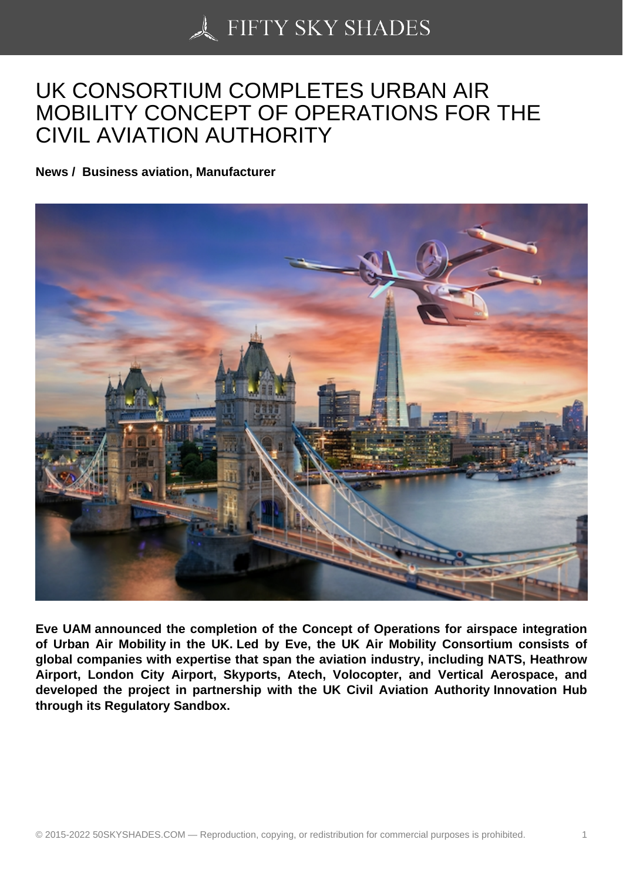## [UK CONSORTIUM CO](https://50skyshades.com)MPLETES URBAN AIR MOBILITY CONCEPT OF OPERATIONS FOR THE CIVIL AVIATION AUTHORITY

News / Business aviation, Manufacturer

Eve UAM announced the completion of the Concept of Operations for airspace integration of Urban Air Mobility in the UK. Led by Eve, the UK Air Mobility Consortium consists of global companies with expertise that span the aviation industry, including NATS, Heathrow Airport, London City Airport, Skyports, Atech, Volocopter, and Vertical Aerospace, and developed the project in partnership with the UK Civil Aviation Authority Innovation Hub through its Regulatory Sandbox.